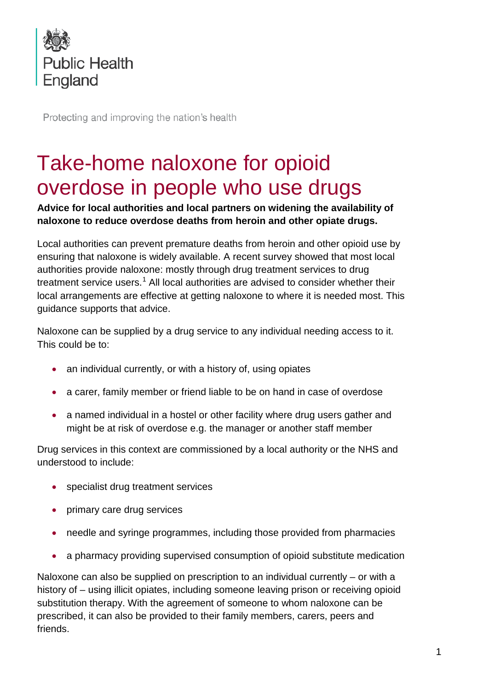

Protecting and improving the nation's health

# Take-home naloxone for opioid overdose in people who use drugs

**Advice for local authorities and local partners on widening the availability of naloxone to reduce overdose deaths from heroin and other opiate drugs.**

<span id="page-0-0"></span>Local authorities can prevent premature deaths from heroin and other opioid use by ensuring that naloxone is widely available. A recent survey showed that most local authorities provide naloxone: mostly through drug treatment services to drug treatment service users.<sup>[1](#page-6-0)</sup> All local authorities are advised to consider whether their local arrangements are effective at getting naloxone to where it is needed most. This guidance supports that advice.

Naloxone can be supplied by a drug service to any individual needing access to it. This could be to:

- an individual currently, or with a history of, using opiates
- a carer, family member or friend liable to be on hand in case of overdose
- a named individual in a hostel or other facility where drug users gather and might be at risk of overdose e.g. the manager or another staff member

Drug services in this context are commissioned by a local authority or the NHS and understood to include:

- specialist drug treatment services
- primary care drug services
- needle and syringe programmes, including those provided from pharmacies
- a pharmacy providing supervised consumption of opioid substitute medication

Naloxone can also be supplied on prescription to an individual currently – or with a history of – using illicit opiates, including someone leaving prison or receiving opioid substitution therapy. With the agreement of someone to whom naloxone can be prescribed, it can also be provided to their family members, carers, peers and friends.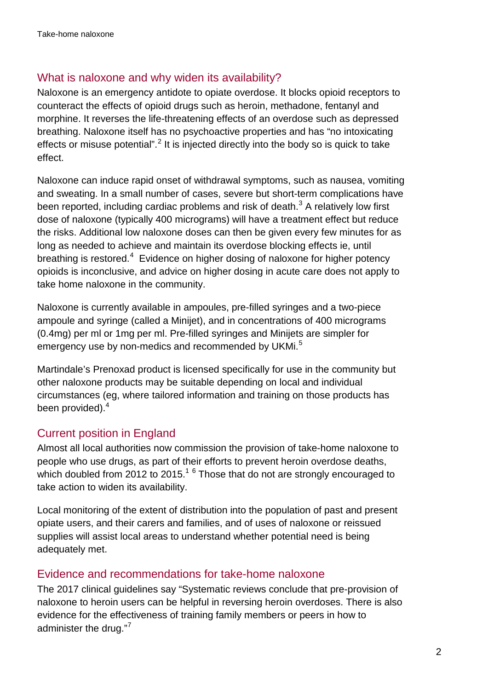## What is naloxone and why widen its availability?

Naloxone is an emergency antidote to opiate overdose. It blocks opioid receptors to counteract the effects of opioid drugs such as heroin, methadone, fentanyl and morphine. It reverses the life-threatening effects of an overdose such as depressed breathing. Naloxone itself has no psychoactive properties and has "no intoxicating effects or misuse potential".<sup>[2](#page-6-1)</sup> It is injected directly into the body so is quick to take effect.

<span id="page-1-1"></span>Naloxone can induce rapid onset of withdrawal symptoms, such as nausea, vomiting and sweating. In a small number of cases, severe but short-term complications have been reported, including cardiac problems and risk of death.<sup>[3](#page-6-2)</sup> A relatively low first dose of naloxone (typically 400 micrograms) will have a treatment effect but reduce the risks. Additional low naloxone doses can then be given every few minutes for as long as needed to achieve and maintain its overdose blocking effects ie, until breathing is restored.<sup>[4](#page-6-3)</sup> Evidence on higher dosing of naloxone for higher potency opioids is inconclusive, and advice on higher dosing in acute care does not apply to take home naloxone in the community.

<span id="page-1-0"></span>Naloxone is currently available in ampoules, pre-filled syringes and a two-piece ampoule and syringe (called a Minijet), and in concentrations of 400 micrograms (0.4mg) per ml or 1mg per ml. Pre-filled syringes and Minijets are simpler for emergency use by non-medics and recommended by UKMi.<sup>[5](#page-6-4)</sup>

Martindale's Prenoxad product is licensed specifically for use in the community but other naloxone products may be suitable depending on local and individual circumstances (eg, where tailored information and training on those products has been provided).<sup>[4](#page-1-0)</sup>

# Current position in England

Almost all local authorities now commission the provision of take-home naloxone to people who use drugs, as part of their efforts to prevent heroin overdose deaths, which doubled from 20[1](#page-0-0)2 to 2015. $1^6$  $1^6$  Those that do not are strongly encouraged to take action to widen its availability.

Local monitoring of the extent of distribution into the population of past and present opiate users, and their carers and families, and of uses of naloxone or reissued supplies will assist local areas to understand whether potential need is being adequately met.

## Evidence and recommendations for take-home naloxone

The 2017 clinical guidelines say "Systematic reviews conclude that pre-provision of naloxone to heroin users can be helpful in reversing heroin overdoses. There is also evidence for the effectiveness of training family members or peers in how to administer the drug."<sup>[7](#page-6-6)</sup>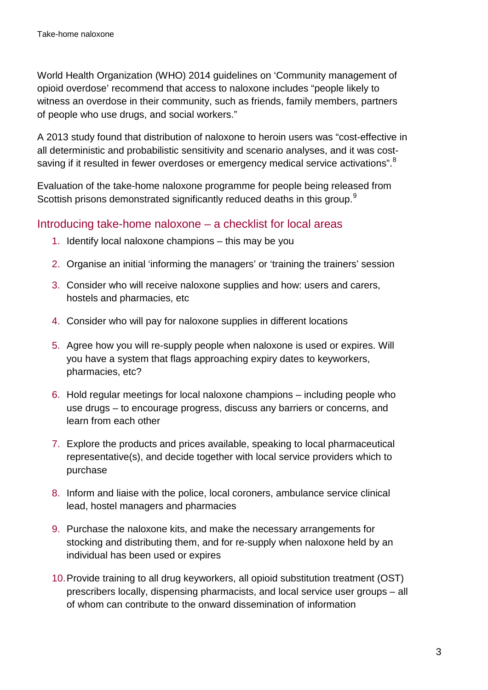World Health Organization (WHO) 2014 guidelines on 'Community management of opioid overdose' recommend that access to naloxone includes "people likely to witness an overdose in their community, such as friends, family members, partners of people who use drugs, and social workers."

A 2013 study found that distribution of naloxone to heroin users was "cost-effective in all deterministic and probabilistic sensitivity and scenario analyses, and it was cost-saving if it resulted in fewer overdoses or emergency medical service activations".<sup>[8](#page-6-7)</sup>

Evaluation of the take-home naloxone programme for people being released from Scottish prisons demonstrated significantly reduced deaths in this group.<sup>[9](#page-6-8)</sup>

## Introducing take-home naloxone – a checklist for local areas

- <span id="page-2-0"></span>1. Identify local naloxone champions – this may be you
- 2. Organise an initial 'informing the managers' or 'training the trainers' session
- 3. Consider who will receive naloxone supplies and how: users and carers, hostels and pharmacies, etc
- 4. Consider who will pay for naloxone supplies in different locations
- 5. Agree how you will re-supply people when naloxone is used or expires. Will you have a system that flags approaching expiry dates to keyworkers, pharmacies, etc?
- 6. Hold regular meetings for local naloxone champions including people who use drugs – to encourage progress, discuss any barriers or concerns, and learn from each other
- 7. Explore the products and prices available, speaking to local pharmaceutical representative(s), and decide together with local service providers which to purchase
- 8. Inform and liaise with the police, local coroners, ambulance service clinical lead, hostel managers and pharmacies
- 9. Purchase the naloxone kits, and make the necessary arrangements for stocking and distributing them, and for re-supply when naloxone held by an individual has been used or expires
- 10.Provide training to all drug keyworkers, all opioid substitution treatment (OST) prescribers locally, dispensing pharmacists, and local service user groups – all of whom can contribute to the onward dissemination of information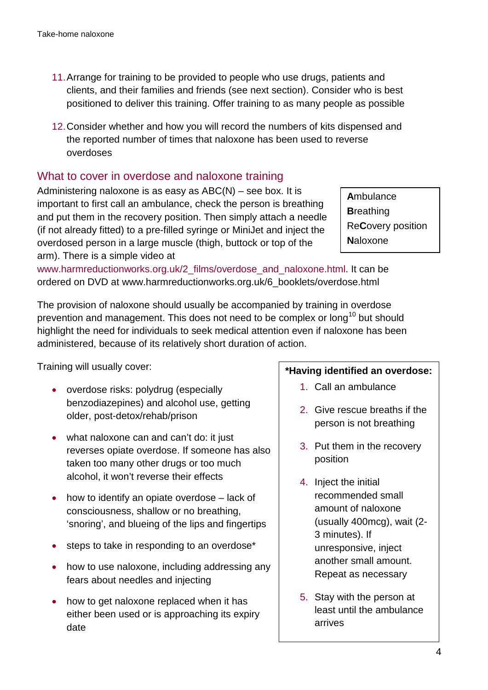- 11.Arrange for training to be provided to people who use drugs, patients and clients, and their families and friends (see next section). Consider who is best positioned to deliver this training. Offer training to as many people as possible
- 12.Consider whether and how you will record the numbers of kits dispensed and the reported number of times that naloxone has been used to reverse overdoses

## What to cover in overdose and naloxone training

Administering naloxone is as easy as  $ABC(N)$  – see box. It is important to first call an ambulance, check the person is breathing and put them in the recovery position. Then simply attach a needle (if not already fitted) to a pre-filled syringe or MiniJet and inject the overdosed person in a large muscle (thigh, buttock or top of the arm). There is a simple video at

**A**mbulance **B**reathing Re**C**overy position **N**aloxone

[www.harmreductionworks.org.uk/2\\_films/overdose\\_and\\_naloxone.html.](http://www.harmreductionworks.org.uk/2_films/overdose_and_naloxone.html) It can be ordered on DVD at www.harmreductionworks.org.uk/6\_booklets/overdose.html

The provision of naloxone should usually be accompanied by training in overdose prevention and management. This does not need to be complex or long<sup>[10](#page-6-9)</sup> but should highlight the need for individuals to seek medical attention even if naloxone has been administered, because of its relatively short duration of action.

Training will usually cover:

- overdose risks: polydrug (especially benzodiazepines) and alcohol use, getting older, post-detox/rehab/prison
- what naloxone can and can't do: it just reverses opiate overdose. If someone has also taken too many other drugs or too much alcohol, it won't reverse their effects
- how to identify an opiate overdose lack of consciousness, shallow or no breathing, 'snoring', and blueing of the lips and fingertips
- steps to take in responding to an overdose\*
- how to use naloxone, including addressing any fears about needles and injecting
- how to get naloxone replaced when it has either been used or is approaching its expiry date

#### **\*Having identified an overdose:**

- 1. Call an ambulance
- 2. Give rescue breaths if the person is not breathing
- 3. Put them in the recovery position
- 4. Inject the initial recommended small amount of naloxone (usually 400mcg), wait (2- 3 minutes). If unresponsive, inject another small amount. Repeat as necessary
- 5. Stay with the person at least until the ambulance arrives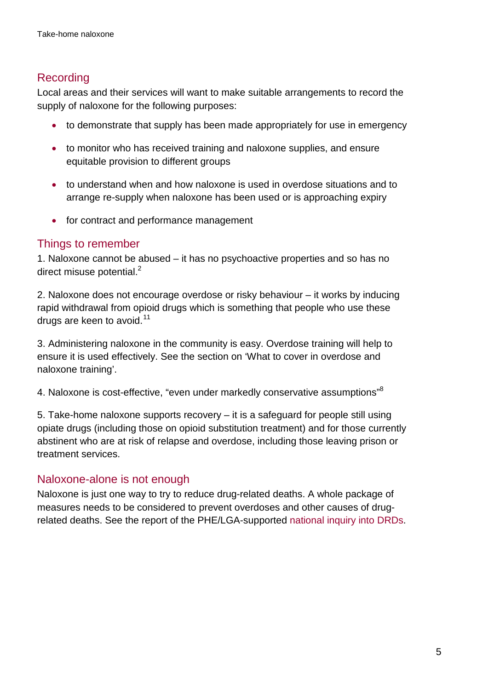## Recording

Local areas and their services will want to make suitable arrangements to record the supply of naloxone for the following purposes:

- to demonstrate that supply has been made appropriately for use in emergency
- to monitor who has received training and naloxone supplies, and ensure equitable provision to different groups
- to understand when and how naloxone is used in overdose situations and to arrange re-supply when naloxone has been used or is approaching expiry
- for contract and performance management

## Things to remember

1. Naloxone cannot be abused – it has no psychoactive properties and so has no direct misuse potential.<sup>2</sup>

2. Naloxone does not encourage overdose or risky behaviour – it works by inducing rapid withdrawal from opioid drugs which is something that people who use these drugs are keen to avoid. $11$ 

3. Administering naloxone in the community is easy. Overdose training will help to ensure it is used effectively. See the section on 'What to cover in overdose and naloxone training'.

4. Naloxone is cost-effective, "even under markedly conservative assumptions"<sup>8</sup>

5. Take-home naloxone supports recovery – it is a safeguard for people still using opiate drugs (including those on opioid substitution treatment) and for those currently abstinent who are at risk of relapse and overdose, including those leaving prison or treatment services.

## Naloxone-alone is not enough

Naloxone is just one way to try to reduce drug-related deaths. A whole package of measures needs to be considered to prevent overdoses and other causes of drugrelated deaths. See the report of the PHE/LGA-supported [national inquiry into DRDs.](http://www.nta.nhs.uk/uploads/phe-understanding-preventing-drds.pdf)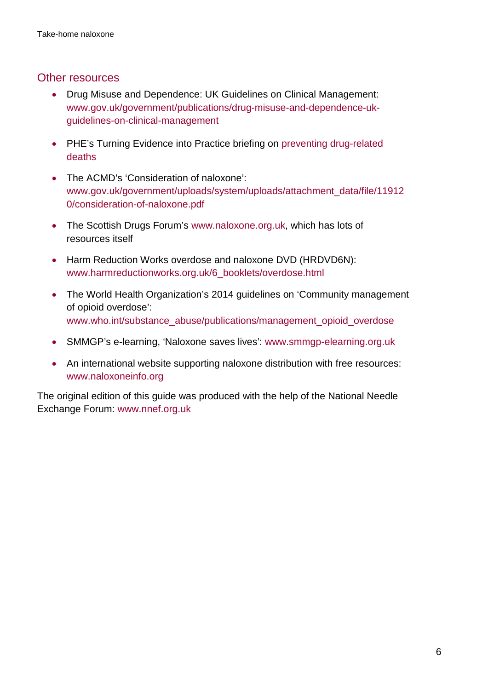## Other resources

- Drug Misuse and Dependence: UK Guidelines on Clinical Management: [www.gov.uk/government/publications/drug-misuse-and-dependence-uk](http://www.gov.uk/government/publications/drug-misuse-and-dependence-uk-guidelines-on-clinical-management)[guidelines-on-clinical-management](http://www.gov.uk/government/publications/drug-misuse-and-dependence-uk-guidelines-on-clinical-management)
- PHE's Turning Evidence into Practice briefing on preventing drug-related [deaths](http://www.nta.nhs.uk/teip-drd-2014.aspx)
- The ACMD's 'Consideration of naloxone': [www.gov.uk/government/uploads/system/uploads/attachment\\_data/file/11912](http://www.gov.uk/government/uploads/system/uploads/attachment_data/file/119120/consideration-of-naloxone.pdf) [0/consideration-of-naloxone.pdf](http://www.gov.uk/government/uploads/system/uploads/attachment_data/file/119120/consideration-of-naloxone.pdf)
- The Scottish Drugs Forum's [www.naloxone.org.uk,](http://www.naloxone.org.uk/) which has lots of resources itself
- Harm Reduction Works overdose and naloxone DVD (HRDVD6N): [www.harmreductionworks.org.uk/6\\_booklets/overdose.html](http://www.harmreductionworks.org.uk/6_booklets/overdose.html)
- The World Health Organization's 2014 guidelines on 'Community management of opioid overdose': [www.who.int/substance\\_abuse/publications/management\\_opioid\\_overdose](http://www.who.int/substance_abuse/publications/management_opioid_overdose)
- SMMGP's e-learning, 'Naloxone saves lives': [www.smmgp-elearning.org.uk](http://www.smmgp-elearning.org.uk/)
- An international website supporting naloxone distribution with free resources: [www.naloxoneinfo.org](http://www.naloxoneinfo.org/)

The original edition of this guide was produced with the help of the National Needle Exchange Forum: [www.nnef.org.uk](http://www.nnef.org.uk/)